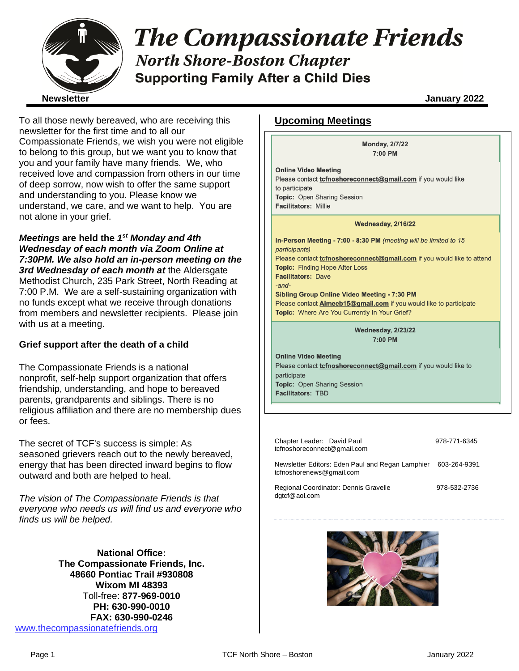

# **The Compassionate Friends North Shore-Boston Chapter Supporting Family After a Child Dies**

To all those newly bereaved, who are receiving this newsletter for the first time and to all our Compassionate Friends, we wish you were not eligible to belong to this group, but we want you to know that you and your family have many friends. We, who received love and compassion from others in our time of deep sorrow, now wish to offer the same support and understanding to you. Please know we understand, we care, and we want to help. You are not alone in your grief.

*Meetings* **are held the** *1 st Monday and 4th Wednesday of each month via Zoom Online at 7:30PM. We also hold an in-person meeting on the 3rd Wednesday of each month at* the Aldersgate Methodist Church, 235 Park Street, North Reading at 7:00 P.M. We are a self-sustaining organization with no funds except what we receive through donations from members and newsletter recipients. Please join with us at a meeting.

## **Grief support after the death of a child**

The Compassionate Friends is a national nonprofit, self-help support organization that offers friendship, understanding, and hope to bereaved parents, grandparents and siblings. There is no religious affiliation and there are no membership dues or fees.

The secret of TCF's success is simple: As seasoned grievers reach out to the newly bereaved, energy that has been directed inward begins to flow outward and both are helped to heal.

*The vision of The Compassionate Friends is that everyone who needs us will find us and everyone who finds us will be helped.*

**National Office: The Compassionate Friends, Inc. 48660 Pontiac Trail #930808 Wixom MI 48393** Toll-free: **877-969-0010 PH: 630-990-0010 FAX: 630-990-0246** [www.thecompassionatefriends.org](http://www.thecompassionatefriends.org/)

## **Upcoming Meetings**

**Monday, 2/7/22** 7:00 PM

**Online Video Meeting** Please contact *tcfnoshoreconnect@gmail.com* if you would like to participate Topic: Open Sharing Session Facilitators: Millie

#### Wednesday, 2/16/22

In-Person Meeting - 7:00 - 8:30 PM (meeting will be limited to 15 participants) Please contact *tcfnoshoreconnect@gmail.com* if you would like to attend **Topic: Finding Hope After Loss Facilitators: Dave**  $-$ and $-$ Sibling Group Online Video Meeting - 7:30 PM Please contact **Aimeeb15@gmail.com** if you would like to participate Topic: Where Are You Currently In Your Grief?

> **Wednesday, 2/23/22** 7:00 PM

**Online Video Meeting** Please contact *tcfnoshoreconnect@gmail.com* if you would like to participate Topic: Open Sharing Session **Facilitators: TBD** 

| Chapter Leader: David Paul<br>tcfnoshoreconnect@gmail.com                    | 978-771-6345 |
|------------------------------------------------------------------------------|--------------|
| Newsletter Editors: Eden Paul and Regan Lamphier<br>tcfnoshorenews@gmail.com | 603-264-9391 |
| Regional Coordinator: Dennis Gravelle<br>dgtcf@aol.com                       | 978-532-2736 |

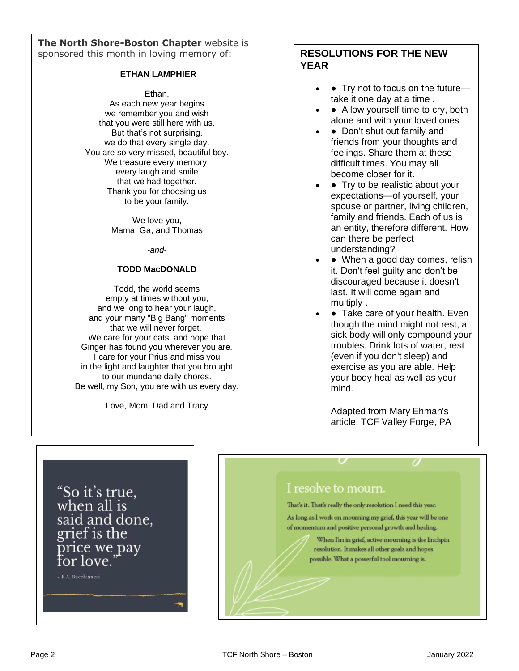**The North Shore-Boston Chapter** website is sponsored this month in loving memory of:

#### **ETHAN LAMPHIER**

Ethan,

As each new year begins we remember you and wish that you were still here with us. But that's not surprising, we do that every single day. You are so very missed, beautiful boy. We treasure every memory, every laugh and smile that we had together. Thank you for choosing us to be your family.

> We love you, Mama, Ga, and Thomas

> > *-and-*

#### **TODD MacDONALD**

Todd, the world seems empty at times without you, and we long to hear your laugh, and your many "Big Bang" moments that we will never forget. We care for your cats, and hope that Ginger has found you wherever you are. I care for your Prius and miss you in the light and laughter that you brought to our mundane daily chores. Be well, my Son, you are with us every day.

Love, Mom, Dad and Tracy

## **RESOLUTIONS FOR THE NEW YEAR**

- Try not to focus on the futuretake it one day at a time .
- Allow yourself time to cry, both alone and with your loved ones
- Don't shut out family and friends from your thoughts and feelings. Share them at these difficult times. You may all become closer for it.
- Try to be realistic about your expectations—of yourself, your spouse or partner, living children, family and friends. Each of us is an entity, therefore different. How can there be perfect understanding?
- When a good day comes, relish it. Don't feel guilty and don't be discouraged because it doesn't last. It will come again and multiply .
- Take care of your health. Even though the mind might not rest, a sick body will only compound your troubles. Drink lots of water, rest (even if you don't sleep) and exercise as you are able. Help your body heal as well as your mind.

Adapted from Mary Ehman's article, TCF Valley Forge, PA

"So it's true, when all is said and done, grief is the price we pay for love.

~ E.A. Bucchianeri

## I resolve to mourn.

That's it. That's really the only resolution I need this year.

As long as I work on mourning my grief, this year will be one of momentum and positive personal growth and healing.

> When I'm in grief, active mourning is the linchpin resolution. It makes all other goals and hopes possible. What a powerful tool mourning is.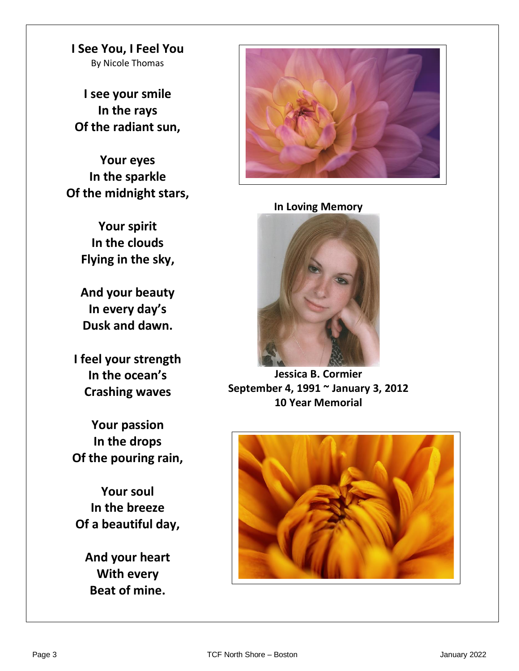**I See You, I Feel You** By Nicole Thomas

**I see your smile In the rays Of the radiant sun,**

**Your eyes In the sparkle Of the midnight stars,**

> **Your spirit In the clouds Flying in the sky,**

**And your beauty In every day's Dusk and dawn.**

**I feel your strength In the ocean's Crashing waves**

**Your passion In the drops Of the pouring rain,**

**Your soul In the breeze Of a beautiful day,**

**And your heart With every Beat of mine.**



## **In Loving Memory**



**Jessica B. Cormier September 4, 1991 ~ January 3, 2012 10 Year Memorial**

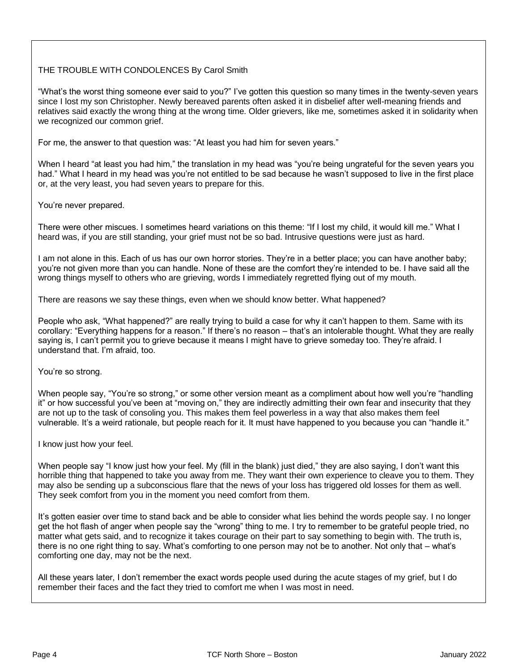## THE TROUBLE WITH CONDOLENCES By Carol Smith

 "What's the worst thing someone ever said to you?" I've gotten this question so many times in the twenty-seven years **Example 20** For the worst ding someone ever said to you? The gotten this question so many times in the twenty-seventy, relatives said exactly the wrong thing at the wrong time. Older grievers, like me, sometimes asked it in solidarity when<br>we recognized our common grief. we recognized our common grief.

 For me, the answer to that question was: "At least you had him for seven years."

When I heard "at least you had him," the translation in my head was "you're being ungrateful for the seven years you<br>had." What I heard in my head was you're not entitled to be sad because he wasn't supposed to live in the or, at the very least, you had seven years to prepare for this. When I heard "at least you had him," the translation in my head was "you're being ungrateful for the seven years you

You're never prepared.

 There were other miscues. I sometimes heard variations on this theme: "If I lost my child, it would kill me." What I  heard was, if you are still standing, your grief must not be so bad. Intrusive questions were just as hard.

 I am not alone in this. Each of us has our own horror stories. They're in a better place; you can have another baby; you're not given more than you can handle. None of these are the comfort they're intended to be. I have said all the<br>wrong things myself to others who are grieving, words Limmediately regretted flying out of my mouth  wrong things myself to others who are grieving, words I immediately regretted flying out of my mouth.

 There are reasons we say these things, even when we should know better. What happened?

**People who ask, "What happened?" are really trying to build a case for why it can't happen to them. Same with its<br>carellary "Exampting benness far a reason" If there's no reason, that's an intelerable thought. What they a**  saying is, I can't permit you to grieve because it means I might have to grieve someday too. They're afraid. I corollary: "Everything happens for a reason." If there's no reason – that's an intolerable thought. What they are really understand that. I'm afraid, too.

You're so strong.

 When people say, "You're so strong," or some other version meant as a compliment about how well you're "handling it" or how successful you've been at "moving on," they are indirectly admitting their own fear and insecurity tl<br>are not up to the task of consoling you. This makes them feel powerless in a way that also makes them feel  vulnerable. It's a weird rationale, but people reach for it. It must have happened to you because you can "handle it." it" or how successful you've been at "moving on," they are indirectly admitting their own fear and insecurity that they

I know just how your feel.

 When people say "I know just how your feel. My (fill in the blank) just died," they are also saying, I don't want this **horrible thing that happened to take you away from me. They want their own experience to cleave you to them. They** They seek comfort from you in the moment you need comfort from them. may also be sending up a subconscious flare that the news of your loss has triggered old losses for them as well.

It's gotten easier over time to stand back and be able to consider what lies behind the words people say. I no longer get the hot flash of anger when people say the "wrong" thing to me. I try to remember to be grateful people tried, no<br>mother what acts said, and to researche it tokes sources an their part to sourcemething to begin with. T  there is no one right thing to say. What's comforting to one person may not be to another. Not only that – what's comforting one day, may not be the next. matter what gets said, and to recognize it takes courage on their part to say something to begin with. The truth is,

All these years later, I don't remember the exact words people used during the acute stages of my grief, but I do<br>remember their faces and the feet they tried to comfert me when I was meet in peod.  remember their faces and the fact they tried to comfort me when I was most in need.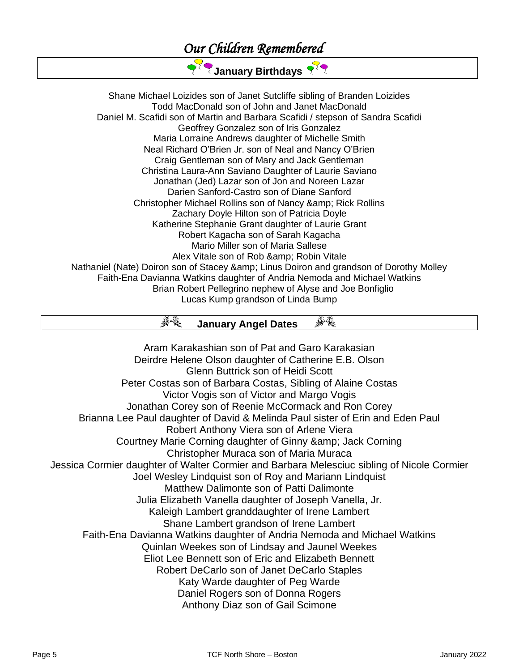## *Our Children Remembered*

**January Birthdays** 

Shane Michael Loizides son of Janet Sutcliffe sibling of Branden Loizides Todd MacDonald son of John and Janet MacDonald Daniel M. Scafidi son of Martin and Barbara Scafidi / stepson of Sandra Scafidi Geoffrey Gonzalez son of Iris Gonzalez Maria Lorraine Andrews daughter of Michelle Smith Neal Richard O'Brien Jr. son of Neal and Nancy O'Brien Craig Gentleman son of Mary and Jack Gentleman Christina Laura-Ann Saviano Daughter of Laurie Saviano Jonathan (Jed) Lazar son of Jon and Noreen Lazar Darien Sanford-Castro son of Diane Sanford Christopher Michael Rollins son of Nancy & amp; Rick Rollins Zachary Doyle Hilton son of Patricia Doyle Katherine Stephanie Grant daughter of Laurie Grant Robert Kagacha son of Sarah Kagacha Mario Miller son of Maria Sallese Alex Vitale son of Rob & amp; Robin Vitale Nathaniel (Nate) Doiron son of Stacey & amp; Linus Doiron and grandson of Dorothy Molley Faith-Ena Davianna Watkins daughter of Andria Nemoda and Michael Watkins Brian Robert Pellegrino nephew of Alyse and Joe Bonfiglio Lucas Kump grandson of Linda Bump

#### 67. A R  **January Angel Dates**

Aram Karakashian son of Pat and Garo Karakasian Deirdre Helene Olson daughter of Catherine E.B. Olson Glenn Buttrick son of Heidi Scott Peter Costas son of Barbara Costas, Sibling of Alaine Costas Victor Vogis son of Victor and Margo Vogis Jonathan Corey son of Reenie McCormack and Ron Corey Brianna Lee Paul daughter of David & Melinda Paul sister of Erin and Eden Paul Robert Anthony Viera son of Arlene Viera Courtney Marie Corning daughter of Ginny & amp; Jack Corning Christopher Muraca son of Maria Muraca Jessica Cormier daughter of Walter Cormier and Barbara Melesciuc sibling of Nicole Cormier Joel Wesley Lindquist son of Roy and Mariann Lindquist Matthew Dalimonte son of Patti Dalimonte Julia Elizabeth Vanella daughter of Joseph Vanella, Jr. Kaleigh Lambert granddaughter of Irene Lambert Shane Lambert grandson of Irene Lambert Faith-Ena Davianna Watkins daughter of Andria Nemoda and Michael Watkins Quinlan Weekes son of Lindsay and Jaunel Weekes Eliot Lee Bennett son of Eric and Elizabeth Bennett Robert DeCarlo son of Janet DeCarlo Staples Katy Warde daughter of Peg Warde Daniel Rogers son of Donna Rogers Anthony Diaz son of Gail Scimone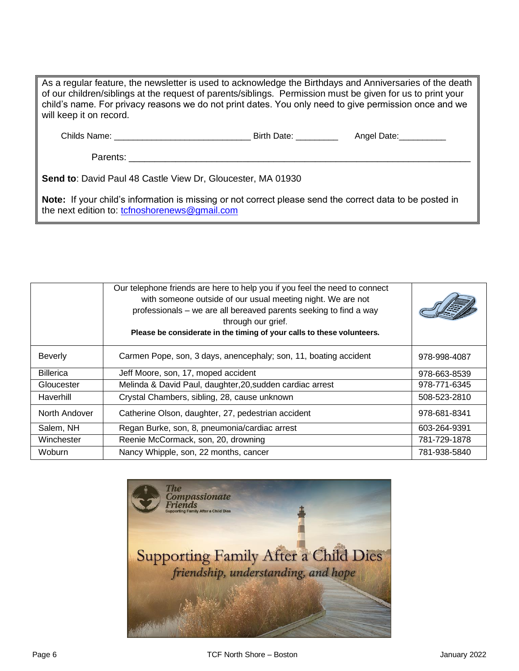As a regular feature, the newsletter is used to acknowledge the Birthdays and Anniversaries of the death of our children/siblings at the request of parents/siblings. Permission must be given for us to print your child's name. For privacy reasons we do not print dates. You only need to give permission once and we will keep it on record. Childs Name: \_\_\_\_\_\_\_\_\_\_\_\_\_\_\_\_\_\_\_\_\_\_\_\_\_\_\_\_\_ Birth Date: \_\_\_\_\_\_\_\_\_ Angel Date:\_\_\_\_\_\_\_\_\_\_ Parents: \_\_\_\_\_\_\_\_\_\_\_\_\_\_\_\_\_\_\_\_\_\_\_\_\_\_\_\_\_\_\_\_\_\_\_\_\_\_\_\_\_\_\_\_\_\_\_\_\_\_\_\_\_\_\_\_\_\_\_\_\_\_\_\_\_\_ **Send to**: David Paul 48 Castle View Dr, Gloucester, MA 01930

**Note:** If your child's information is missing or not correct please send the correct data to be posted in the next edition to: [tcfnoshorenews@gmail.com](mailto:tcfnoshorenews@gmail.com)

|                  | Our telephone friends are here to help you if you feel the need to connect<br>with someone outside of our usual meeting night. We are not<br>professionals - we are all bereaved parents seeking to find a way<br>through our grief.<br>Please be considerate in the timing of your calls to these volunteers. |              |
|------------------|----------------------------------------------------------------------------------------------------------------------------------------------------------------------------------------------------------------------------------------------------------------------------------------------------------------|--------------|
| <b>Beverly</b>   | Carmen Pope, son, 3 days, anencephaly; son, 11, boating accident                                                                                                                                                                                                                                               | 978-998-4087 |
| <b>Billerica</b> | Jeff Moore, son, 17, moped accident                                                                                                                                                                                                                                                                            | 978-663-8539 |
| Gloucester       | Melinda & David Paul, daughter, 20, sudden cardiac arrest                                                                                                                                                                                                                                                      | 978-771-6345 |
| Haverhill        | Crystal Chambers, sibling, 28, cause unknown                                                                                                                                                                                                                                                                   | 508-523-2810 |
| North Andover    | Catherine Olson, daughter, 27, pedestrian accident                                                                                                                                                                                                                                                             | 978-681-8341 |
| Salem, NH        | Regan Burke, son, 8, pneumonia/cardiac arrest                                                                                                                                                                                                                                                                  | 603-264-9391 |
| Winchester       | Reenie McCormack, son, 20, drowning                                                                                                                                                                                                                                                                            | 781-729-1878 |
| Woburn           | Nancy Whipple, son, 22 months, cancer                                                                                                                                                                                                                                                                          | 781-938-5840 |

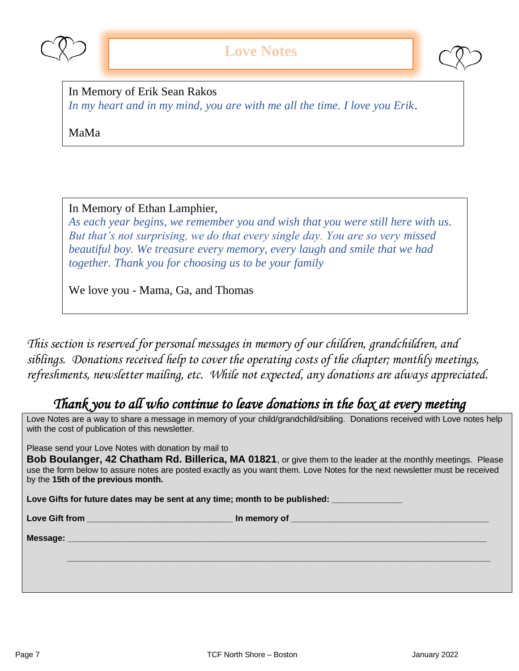



In Memory of Erik Sean Rakos *In my heart and in my mind, you are with me all the time. I love you Erik*.

MaMa

In Memory of Ethan Lamphier,

*As each year begins, we remember you and wish that you were still here with us. But that's not surprising, we do that every single day. You are so very missed beautiful boy. We treasure every memory, every laugh and smile that we had together. Thank you for choosing us to be your family* 

We love you - Mama, Ga, and Thomas

*This section is reserved for personal messages in memory of our children, grandchildren, and siblings. Donations received help to cover the operating costs of the chapter; monthly meetings, refreshments, newsletter mailing, etc. While not expected, any donations are always appreciated.*

## *Thank you to all who continue to leave donations in the box at every meeting*

Love Notes are a way to share a message in memory of your child/grandchild/sibling. Donations received with Love notes help with the cost of publication of this newsletter.

Please send your Love Notes with donation by mail to

**Bob Boulanger, 42 Chatham Rd. Billerica, MA 01821**, or give them to the leader at the monthly meetings. Please use the form below to assure notes are posted exactly as you want them. Love Notes for the next newsletter must be received by the **15th of the previous month.** 

Love Gifts for future dates may be sent at any time; month to be published: **we use** 

Love Gift from **Love Gift from** 

 $\bm{r} = \bm{r} - \bm{r}$  , where  $\bm{r} = \bm{r} - \bm{r}$  , where  $\bm{r} = \bm{r} - \bm{r}$  , where  $\bm{r} = \bm{r} - \bm{r}$  , where  $\bm{r} = \bm{r} - \bm{r}$ 

**Message: \_\_\_\_\_\_\_\_\_\_\_\_\_\_\_\_\_\_\_\_\_\_\_\_\_\_\_\_\_\_\_\_\_\_\_\_\_\_\_\_\_\_\_\_\_\_\_\_\_\_\_\_\_\_\_\_\_\_\_\_\_\_\_\_\_\_\_\_\_\_\_\_\_\_\_\_\_\_\_\_\_\_\_\_\_\_\_\_\_**